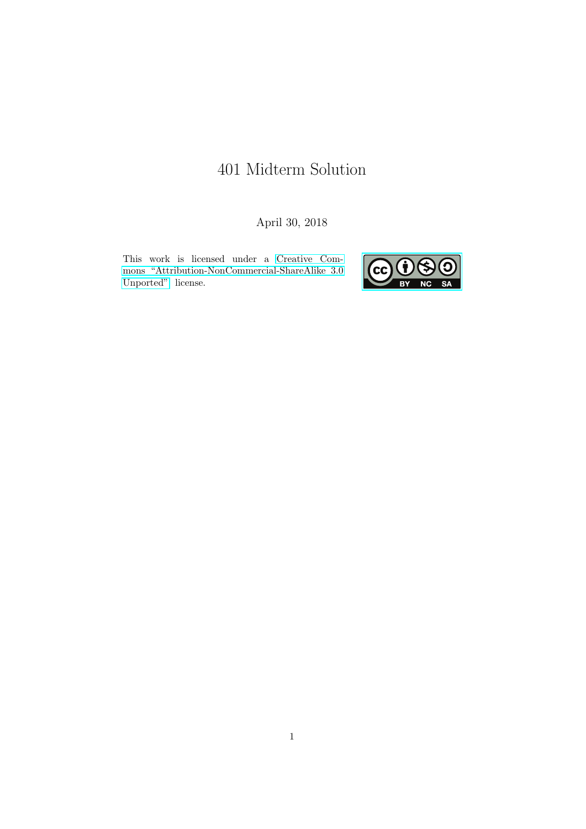# 401 Midterm Solution

April 30, 2018

This work is licensed under a [Creative Com](https://creativecommons.org/licenses/by-nc-sa/3.0/deed.en)[mons "Attribution-NonCommercial-ShareAlike 3.0](https://creativecommons.org/licenses/by-nc-sa/3.0/deed.en) [Unported"](https://creativecommons.org/licenses/by-nc-sa/3.0/deed.en) license.

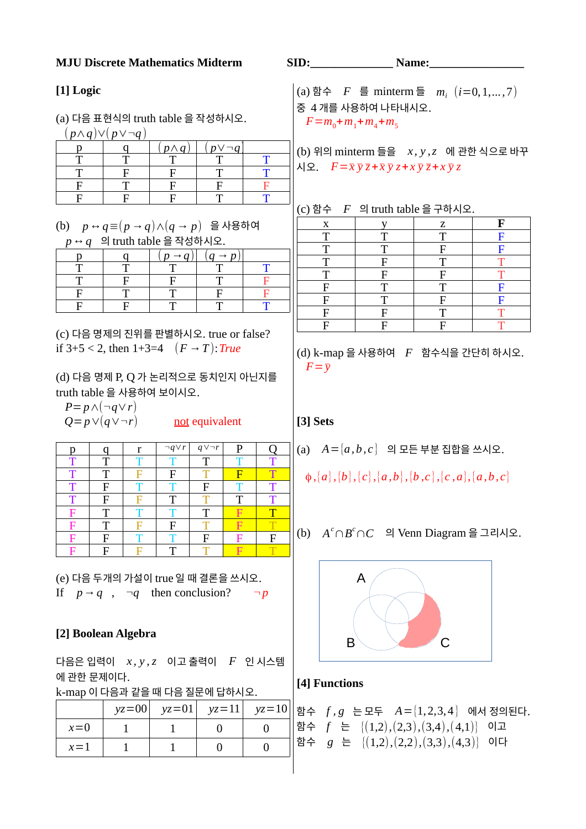#### **MJU Discrete Mathematics Midterm SID: SID: Name:**

### **[1] Logic**

(a) 다음 표현식의 truth table 을 작성하시오.

| $\left( p \wedge q \right) \vee \left( p \vee \neg q \right)$ |              |                 |  |
|---------------------------------------------------------------|--------------|-----------------|--|
|                                                               | $p \wedge q$ | $p \vee \neg q$ |  |
|                                                               |              |                 |  |
|                                                               |              |                 |  |
|                                                               |              |                 |  |
|                                                               |              |                 |  |

(b) *p↔q*≡(*p→q*)∧(*q→ p*) 을 사용하여 *p↔q* 의 truth table 을 작성하시오.

|  | $p \rightarrow q$ | $q \rightarrow p$ |  |
|--|-------------------|-------------------|--|
|  |                   |                   |  |
|  |                   |                   |  |
|  |                   |                   |  |
|  |                   |                   |  |

(c) 다음 명제의 진위를 판별하시오. true or false? if 3+5 < 2, then 1+3=4 (*F→T*):*True*

(d) 다음 명제 P, Q 가 논리적으로 동치인지 아닌지를 truth table 을 사용하여 보이시오.

*P*=*p*∧(¬*q*∨*r*)

| x. | - 1<br>$Q = p \vee (q \vee \neg r)$ |   |                 | not equivalent  |   |   |
|----|-------------------------------------|---|-----------------|-----------------|---|---|
| D  |                                     | r | $\neg q \vee r$ | $q \vee \neg r$ | P |   |
| т  | Т                                   |   |                 | Т               |   |   |
| Т  | T                                   | F | F               | Т               | F | T |
| т  | F                                   |   |                 | F               |   |   |
| Т  | F                                   | F | T               |                 | Т | т |
| F  | T                                   |   |                 | Т               |   |   |
| F  | Т                                   |   | F               | т               |   |   |
| F  | F                                   |   |                 | F               |   | F |
|    | F                                   |   | Т               | Т               |   |   |

(e) 다음 두개의 가설이 true 일 때 결론을 쓰시오. If  $p \rightarrow q$ ,  $\neg q$  then conclusion?  $\neg p$ 

### **[2] Boolean Algebra**

다음은 입력이 *x , y ,z* 이고 출력이 *F* 인 시스템 에 관한 문제이다.

k-map 이 다음과 같을 때 다음 질문에 답하시오.

|       | $yz=00$ $yz=01$ $yz=11$ $yz=10$ |  |
|-------|---------------------------------|--|
| $x=0$ |                                 |  |
| $x=1$ |                                 |  |

(a) 함수 *F* 를 minterm 들 *m<sup>i</sup>* (*i*=0, 1,...*,*7) 중 4 개를 사용하여 나타내시오.  $F = m_0 + m_1 + m_4 + m_5$ 

(b) 위의 minterm 들을 *x , y ,z* 에 관한 식으로 바꾸  $\sqrt{2}$ .  $F = \overline{x} \overline{y} \overline{z} + \overline{x} \overline{y} z + x \overline{y} \overline{z} + x \overline{y} z$ 

(c) 함수 *F* 의 truth table 을 구하시오.

| X | TT <sub>T</sub> | z | F |
|---|-----------------|---|---|
| T | т               | T | F |
| T | т               | F | F |
| т | F               | т | ௱ |
| T | F               | F |   |
| F |                 |   | F |
| F |                 | F | F |
| F | F               | Т |   |
| F | F               | F |   |

(d) k-map 을 사용하여 *F* 함수식을 간단히 하시오.  $F = \overline{v}$ 

# **[3] Sets**

(a) *A*={*a , b , c* } 의 모든 부분 집합을 쓰시오.

$$
\phi
$$
,  $\{a\}$ ,  $\{b\}$ ,  $\{c\}$ ,  $\{a,b\}$ ,  $\{b,c\}$ ,  $\{c,a\}$ ,  $\{a,b,c\}$ 

(b) *A <sup>c</sup>*∩*B <sup>c</sup>*∩*C* <sup>의</sup>Venn Diagram 을 그리시오.



#### **[4] Functions**

 $\overline{\phantom{a}}$ 

함수 
$$
f, g
$$
는 모투  $A=[1,2,3,4]$ 에서 정의된다.  
함수  $f \in [(1,2),(2,3),(3,4),(4,1)]$  이고  
함수  $g \in [(1,2),(2,2),(3,3),(4,3)]$ 이다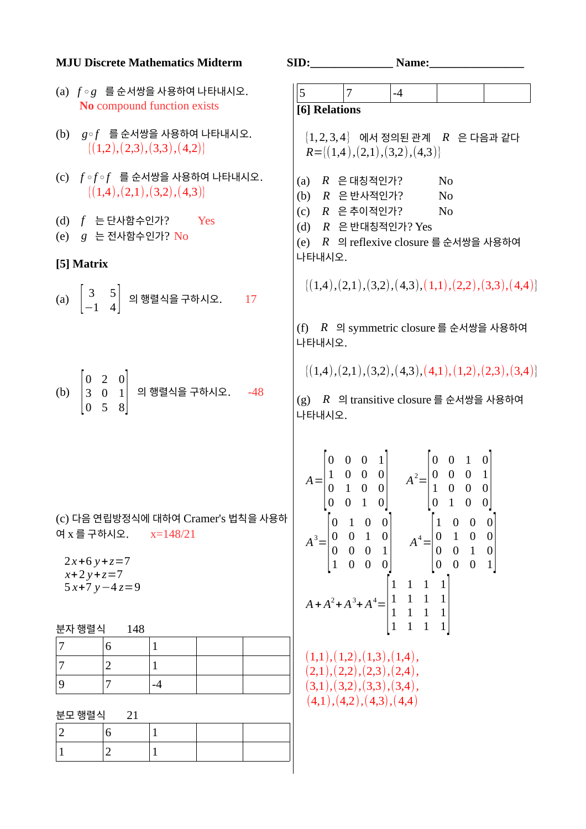|                | <b>MJU Discrete Mathematics Midterm</b>                                                  |                   |                                    | SID: |                  |                                 |                                                                                                                                                                                                                                                                                                                                                                                                                                                                                                                                                 | <b>Name:_____</b> |                 |                      |           |                                                               |
|----------------|------------------------------------------------------------------------------------------|-------------------|------------------------------------|------|------------------|---------------------------------|-------------------------------------------------------------------------------------------------------------------------------------------------------------------------------------------------------------------------------------------------------------------------------------------------------------------------------------------------------------------------------------------------------------------------------------------------------------------------------------------------------------------------------------------------|-------------------|-----------------|----------------------|-----------|---------------------------------------------------------------|
|                | (a) $f \circ g$ 를 순서쌍을 사용하여 나타내시오.<br>No compound function exists                        |                   |                                    | 5    |                  | $\overline{7}$<br>[6] Relations |                                                                                                                                                                                                                                                                                                                                                                                                                                                                                                                                                 | $-4$              |                 |                      |           |                                                               |
|                | (b) $g \circ f$ 를 순서쌍을 사용하여 나타내시오.<br>$\{(1,2),(2,3),(3,3),(4,2)\}\$                     |                   |                                    |      |                  |                                 | $R = \{(1,4), (2,1), (3,2), (4,3)\}\$                                                                                                                                                                                                                                                                                                                                                                                                                                                                                                           |                   |                 |                      |           | $\{1,2,3,4\}$ 에서 정의된 관계 $R$ 은 다음과 같다                          |
|                | (c) $f \circ f \circ f$ 를 순서쌍을 사용하여 나타내시오.<br>$\{(1,4), (2,1), (3,2), (4,3)\}\$          |                   |                                    |      |                  |                                 | (a) $R \in H$ 사장적인가?<br>(b) R 은 반사적인가?                                                                                                                                                                                                                                                                                                                                                                                                                                                                                                          |                   |                 | N <sub>0</sub><br>No |           |                                                               |
|                | (d) $f \in \exists$ 단사함수인가?<br>$(e)$ $g \in \mathbb{Z}$ 사함수인가? No                        | <b>Example SE</b> |                                    |      |                  |                                 | (c) R 은 추이적인가?<br>$(d)$ $R$ 은 반대칭적인가? Yes                                                                                                                                                                                                                                                                                                                                                                                                                                                                                                       |                   |                 | N <sub>o</sub>       |           | (e) R 의 reflexive closure 를 순서쌍을 사용하여                         |
|                | [5] Matrix                                                                               |                   |                                    |      | 나타내시오.           |                                 |                                                                                                                                                                                                                                                                                                                                                                                                                                                                                                                                                 |                   |                 |                      |           |                                                               |
|                | (a) $\begin{bmatrix} 3 & 5 \\ -1 & 4 \end{bmatrix}$ 의 행렬식을 구하시오. 17                      |                   |                                    |      |                  |                                 |                                                                                                                                                                                                                                                                                                                                                                                                                                                                                                                                                 |                   |                 |                      |           | $\{(1,4), (2,1), (3,2), (4,3), (1,1), (2,2), (3,3), (4,4)\}\$ |
|                |                                                                                          |                   |                                    |      | 나타내시오.           |                                 |                                                                                                                                                                                                                                                                                                                                                                                                                                                                                                                                                 |                   |                 |                      |           | (f) R 의 symmetric closure 를 순서쌍을 사용하여                         |
|                |                                                                                          |                   |                                    |      |                  |                                 |                                                                                                                                                                                                                                                                                                                                                                                                                                                                                                                                                 |                   |                 |                      |           | $\{(1,4), (2,1), (3,2), (4,3), (4,1), (1,2), (2,3), (3,4)\}\$ |
|                | (b) $\begin{vmatrix} 0 & 2 & 0 \\ 3 & 0 & 1 \\ 0 & 5 & 8 \end{vmatrix}$ 의 행렬식을 구하시오. -48 |                   |                                    |      | 나타내시오.           |                                 |                                                                                                                                                                                                                                                                                                                                                                                                                                                                                                                                                 |                   |                 |                      |           | (g) R 의 transitive closure 를 순서쌍을 사용하여                        |
|                | 여 x 를 구하시오.<br>$2x+6y+z=7$<br>$x+2y+z=7$<br>$5x+7y-4z=9$                                 | $x=148/21$        | (c) 다음 연립방정식에 대하여 Cramer's 법칙을 사용하 |      | $\boldsymbol{0}$ | $\boldsymbol{0}$                | $A = \begin{bmatrix} 0 & 0 & 0 & 1 \\ 1 & 0 & 0 & 0 \\ 0 & 1 & 0 & 0 \end{bmatrix}$ $A^2 = \begin{bmatrix} 0 & 0 & 1 & 0 \\ 0 & 0 & 0 & 1 \\ 1 & 0 & 0 & 0 \end{bmatrix}$<br>$\mathbf{1}$<br> 0 <br>$A^3 = \begin{bmatrix} 0 & 1 & 0 & 0 \\ 0 & 0 & 1 & 0 \\ 0 & 0 & 0 & 1 \\ 1 & 0 & 0 & 0 \end{bmatrix} \quad A^4 = \begin{bmatrix} 1 & 0 & 0 & 0 \\ 0 & 1 & 0 & 0 \\ 0 & 0 & 1 & 0 \\ 0 & 0 & 0 & 1 \end{bmatrix}$<br>$A + A^2 + A^3 + A^4 = \begin{bmatrix} 1 & 1 & 1 & 1 \\ 1 & 1 & 1 & 1 \\ 1 & 1 & 1 & 1 \\ 1 & 1 & 1 & 1 \end{bmatrix}$ |                   | $\vert 0 \vert$ | $\mathbf 1$          | $\pmb{0}$ | $\boldsymbol{0}$                                              |
|                | 분자 행렬식<br>148                                                                            |                   |                                    |      |                  |                                 |                                                                                                                                                                                                                                                                                                                                                                                                                                                                                                                                                 |                   |                 |                      |           |                                                               |
| 7              | 6                                                                                        | $\mathbf{1}$      |                                    |      |                  |                                 |                                                                                                                                                                                                                                                                                                                                                                                                                                                                                                                                                 |                   |                 |                      |           |                                                               |
| $\overline{7}$ | $\overline{2}$                                                                           | $\mathbf{1}$      |                                    |      |                  |                                 | (1,1),(1,2),(1,3),(1,4),<br>(2,1), (2,2), (2,3), (2,4),                                                                                                                                                                                                                                                                                                                                                                                                                                                                                         |                   |                 |                      |           |                                                               |
| $9$            | 7                                                                                        | $-4$              |                                    |      |                  |                                 | (3,1), (3,2), (3,3), (3,4),                                                                                                                                                                                                                                                                                                                                                                                                                                                                                                                     |                   |                 |                      |           |                                                               |
|                | 분모 행렬식<br>21                                                                             |                   |                                    |      |                  |                                 | (4,1), (4,2), (4,3), (4,4)                                                                                                                                                                                                                                                                                                                                                                                                                                                                                                                      |                   |                 |                      |           |                                                               |
| $\mathbf 2$    | 6                                                                                        | $\mathbf{1}$      |                                    |      |                  |                                 |                                                                                                                                                                                                                                                                                                                                                                                                                                                                                                                                                 |                   |                 |                      |           |                                                               |
| $\mathbf{1}$   | $\overline{2}$                                                                           | $\mathbf{1}$      |                                    |      |                  |                                 |                                                                                                                                                                                                                                                                                                                                                                                                                                                                                                                                                 |                   |                 |                      |           |                                                               |
|                |                                                                                          |                   |                                    |      |                  |                                 |                                                                                                                                                                                                                                                                                                                                                                                                                                                                                                                                                 |                   |                 |                      |           |                                                               |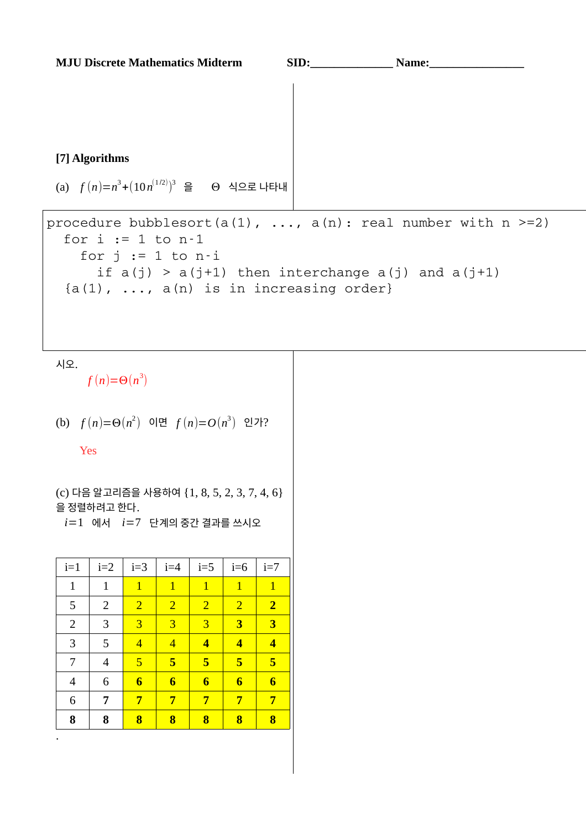#### **[7] Algorithms**

(a)  $f(n)=n^3+(10n^{(1/2)})^3$  을  $\Theta$  식으로 나타내

```
procedure bubblesort(a(1), \ldots, a(n): real number with n >=2)
  for i := 1 to n-1for j := 1 to n-iif a(j) > a(j+1) then interchange a(j) and a(j+1){a(1), ..., a(n)} is in increasing order}
```
시오.

 $f(n)=\Theta(n^3)$ 

(b) 
$$
f(n)=\Theta(n^2)
$$
 0 $\forall$   $f(n)=O(n^3)$  2 $\forall$ ?

Yes

(c) 다음 알고리즘을 사용하여 {1, 8, 5, 2, 3, 7, 4, 6} 을 정렬하려고 한다.

*i*=1 에서 *i*=7 단계의 중간 결과를 쓰시오

| $i=1$          | $i=2$          | $i=3$           | $i=4$           | $i=5$                   | $i=6$                   | $i=7$                   |
|----------------|----------------|-----------------|-----------------|-------------------------|-------------------------|-------------------------|
| $\mathbf{1}$   | $\mathbf{1}$   | $\overline{1}$  | $\overline{1}$  | $\overline{1}$          | $\overline{1}$          | $\overline{1}$          |
| 5              | 2              | $\overline{2}$  | $\overline{2}$  | $\overline{2}$          | $\overline{2}$          | $\overline{2}$          |
| $\overline{2}$ | 3              | 3               | $\overline{3}$  | 3                       | $\overline{\mathbf{3}}$ | $\overline{\mathbf{3}}$ |
| 3              | 5              | $\overline{4}$  | $\overline{4}$  | $\overline{\mathbf{4}}$ | $\overline{\mathbf{4}}$ | $\overline{\mathbf{4}}$ |
| 7              | $\overline{4}$ | 5               | 5               | 5                       | 5                       | 5                       |
| $\overline{4}$ | 6              | $6\phantom{1}6$ | $6\phantom{1}6$ | $\bf{6}$                | $\overline{\mathbf{6}}$ | $6\phantom{1}6$         |
| 6              | 7              | 7               | 7               | 7                       | 7                       | 7                       |
| 8              | 8              | 8               | 8               | 8                       | 8                       | 8                       |
| ٠              |                |                 |                 |                         |                         |                         |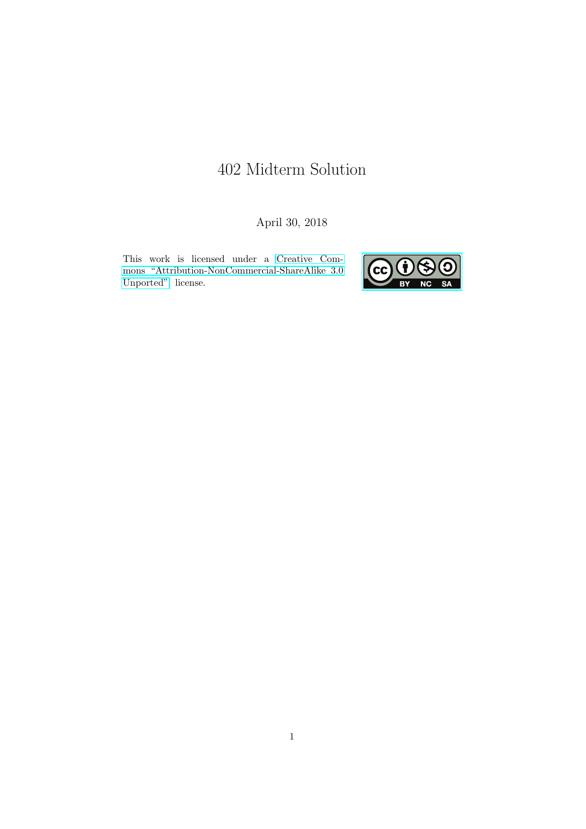# 402 Midterm Solution

April 30, 2018

This work is licensed under a [Creative Com](https://creativecommons.org/licenses/by-nc-sa/3.0/deed.en)[mons "Attribution-NonCommercial-ShareAlike 3.0](https://creativecommons.org/licenses/by-nc-sa/3.0/deed.en) [Unported"](https://creativecommons.org/licenses/by-nc-sa/3.0/deed.en) license.

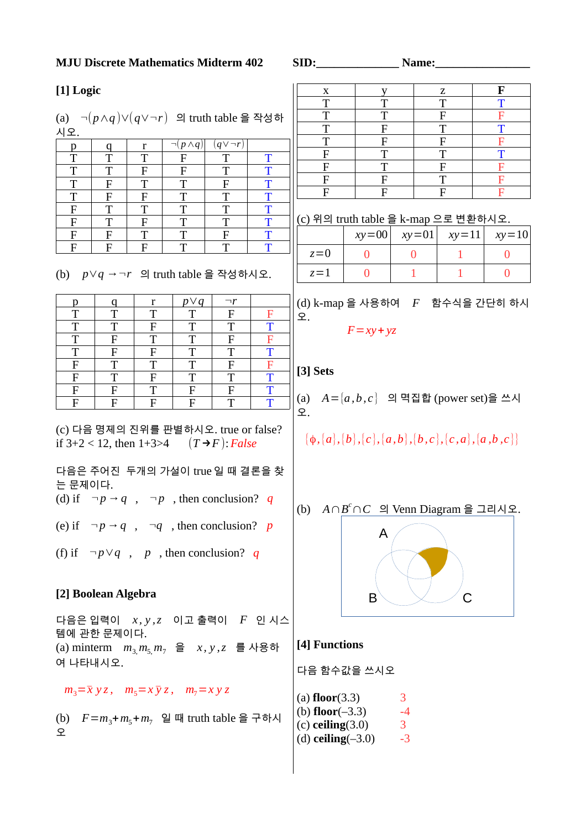#### **MJU Discrete Mathematics Midterm 402 SID: Name:**

# **[1] Logic**

(a) 
$$
\neg(p \land q) \lor (q \lor \neg r)
$$
 의 truth table을 작성하  
시우

| .           |   |   |                   |                 |   |
|-------------|---|---|-------------------|-----------------|---|
| р           |   | r | $\neg p \wedge q$ | $q \vee \neg r$ |   |
| T           | т | T | $\mathbf{F}$      | T               | т |
| T           | т | F | F                 | T               | т |
| T           | F | Т | T                 | F               | т |
| T           | F | F | т                 | T               | T |
| $\mathbf F$ | Т | T | Т                 | T               | т |
| $\mathbf F$ | Т | F | Т                 | T               | T |
| F           | F | T | Т                 | $\mathbf F$     | т |
| F           | F | F | т                 | $\mathbf T$     | т |

(b) 
$$
p \lor q \rightarrow \neg r
$$
  $\Box$  truth table  $\cong$   $\Box$   $\Diamond$   $\Diamond$   $\Box$ .

|   |           | r | $p\vee q$ | $\neg r$ |   |
|---|-----------|---|-----------|----------|---|
|   |           | Т | Т         | F        |   |
| T | T         | F | T         | T        |   |
| T | F         | T | T         | F        |   |
| T | ${\bf F}$ | F | T         | T        | т |
| F | т         | Т | T         | F        | F |
| F | T         | F | T         | T        | т |
| F | F         | Т | F         | F        | т |
| F | F         | F | F         | T        |   |

(c) 다음 명제의 진위를 판별하시오. true or false? if  $3+2 < 12$ , then  $1+3>4$  (*T*→*F*): *False* 

다음은 주어진 두개의 가설이 true 일 때 결론을 찾 는 문제이다.

(d) if  $\neg p \rightarrow q$ ,  $\neg p$ , then conclusion? *q* 

(e) if  $\neg p \rightarrow q$ ,  $\neg q$ , then conclusion? *p* 

(f) if  $\neg p \lor q$ , *p*, then conclusion? *q* 

# **[2] Boolean Algebra**

다음은 입력이 *x , y ,z* 이고 출력이 *F* 인 시스 템에 관한 문제이다.  $(m_3, m_5, m_7, m_8, m_9, m_1, m_1, m_2, m_3, m_1, m_2, m_3, m_4, m_5, m_6, m_7, m_8, m_9, m_1, m_1, m_2, m_3, m_1, m_2, m_3, m_1, m_2, m_3, m_4, m_5, m_6, m_7, m_8, m_1, m_1, m_2, m_3, m_4, m_5, m_6, m_7, m_8, m_1, m_1, m_2, m_3, m_4, m_5, m_6, m_7, m_8, m_1, m_1, m_2, m_3$ 여 나타내시오.

 $m_3 = \overline{x} yz$ ,  $m_5 = x \overline{y}z$ ,  $m_7 = x y z$ 

(b) 
$$
F = m_3 + m_5 + m_7
$$
일 때 truth table을 구하시

 $\begin{array}{c|c|c|c|c} \text{x} & \text{y} & \text{z} & \text{F} \end{array}$  $\begin{array}{|c|c|c|c|c|c|}\hline \texttt{T} & \texttt{T} & \texttt{T} & \texttt{T} \ \hline \end{array}$ T | F | F  $T$  F T T

T F F F F F T T T  $\begin{array}{|c|c|c|c|c|}\hline \text{F} & \text{T} & \text{F} & \text{F} \ \hline \end{array}$ F F T F F F F F

(c) 위의 truth table 을 k-map 으로 변환하시오.

|       |  | $xy=00$ $xy=01$ $xy=11$ $xy=10$ |
|-------|--|---------------------------------|
| $z=0$ |  |                                 |
| $z=1$ |  |                                 |

(d) k-map 을 사용하여 *F* 함수식을 간단히 하시 오.

 $F = xy + yz$ 

# **[3] Sets**

(a) *A*={*a ,b , c* } 의 멱집합 (power set)을 쓰시 오.

$$
\{\phi,\{a\},\{b\},\{c\},\{a,b\},\{b,c\},\{c,a\},\{a,b,c\}\}
$$

(b) *A*∩*B <sup>c</sup>*∩*C* 의 Venn Diagram 을 그리시오.



**[4] Functions**

다음 함수값을 쓰시오

 $(a)$  **floor** $(3.3)$  3 (b) **floor**( $-3.3$ )  $-4$ (c) **ceiling** $(3.0)$  3 (d) **ceiling** $(-3.0)$   $-3$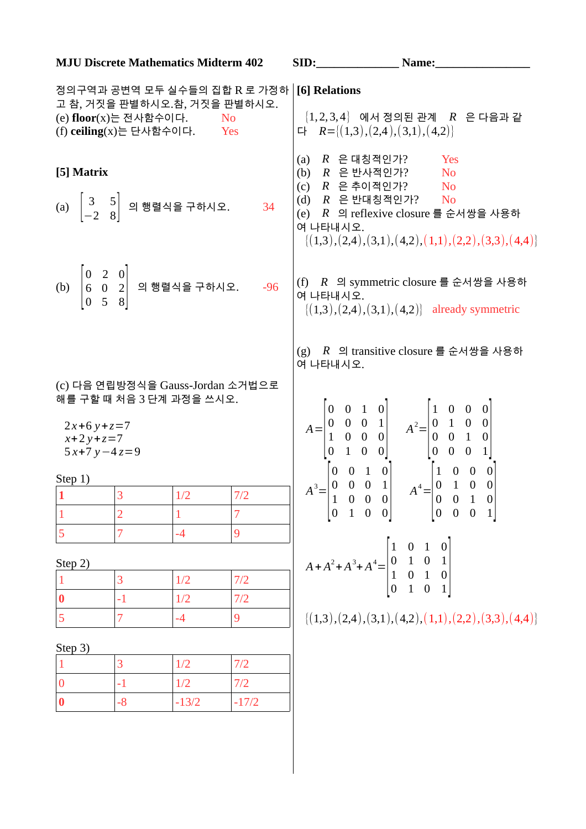| <b>MJU Discrete Mathematics Midterm 402</b>                                                                                              | SID:                                                                                                                                                                                                                    | Name:                                                                                                        |
|------------------------------------------------------------------------------------------------------------------------------------------|-------------------------------------------------------------------------------------------------------------------------------------------------------------------------------------------------------------------------|--------------------------------------------------------------------------------------------------------------|
| 정의구역과 공변역 모두 실수들의 집합 R 로 가정하   [6] Relations<br>고 참, 거짓을 판별하시오.참, 거짓을 판별하시오.<br>(e) floor(x)는 전사함수이다. No<br>(f) ceiling(x)는 단사함수이다.  Yes | 다 $R = \{(1,3), (2,4), (3,1), (4,2)\}\$                                                                                                                                                                                 | $\{1,2,3,4\}$ 에서 정의된 관계 R 은 다음과 같                                                                            |
| [5] Matrix<br>(a) $\begin{bmatrix} 3 & 5 \\ -2 & 8 \end{bmatrix}$ 의 행렬식을 구하시오. 34                                                        | (a) $R \in H$ 기사 기사 기사 기사 있는 어떻게 된 것 같아요.<br>(b) R 은 반사적인가? No<br>(c) R 은 추이적인가? No<br>$(d)$ $R$ 은 반대칭적인가? No<br>여 나타내시오.                                                                                               | Yes<br>(e) R 의 reflexive closure 를 순서쌍을 사용하<br>$\{(1,3), (2,4), (3,1), (4,2), (1,1), (2,2), (3,3), (4,4)\}\$ |
| (b) $\begin{vmatrix} 0 & 2 & 0 \\ 6 & 0 & 2 \\ 0 & 5 & 8 \end{vmatrix}$ 의 행렬식을 구하시오. -96                                                 | 여 나타내시오.                                                                                                                                                                                                                | (f) R 의 symmetric closure 를 순서쌍을 사용하<br>$\{(1,3), (2,4), (3,1), (4,2)\}\$ already symmetric                  |
| (c) 다음 연립방정식을 Gauss-Jordan 소거법으로<br>해를 구할 때 처음 3 단계 과정을 쓰시오.<br>$2x+6y+z=7$<br>$x+2y+z=7$<br>$5x+7y-4z=9$                                | 여 나타내시오.<br>$A = \begin{bmatrix} 0 & 0 & 1 & 0 \\ 0 & 0 & 0 & 1 \\ 1 & 0 & 0 & 0 \\ 0 & 1 & 0 & 0 \end{bmatrix}$ $A^2 = \begin{bmatrix} 1 & 0 & 0 & 0 \\ 0 & 1 & 0 & 0 \\ 0 & 0 & 1 & 0 \\ 0 & 0 & 0 & 1 \end{bmatrix}$ | (g) R 의 transitive closure 를 순서쌍을 사용하                                                                        |
| Step 1)                                                                                                                                  |                                                                                                                                                                                                                         |                                                                                                              |
| 3 <sup>1</sup><br>1/2<br>7/2<br>$\vert 1 \vert$                                                                                          | $A^3 = \begin{bmatrix} 0 & 0 & 1 & 0 \\ 0 & 0 & 0 & 1 \\ 1 & 0 & 0 & 0 \\ 0 & 1 & 0 & 0 \end{bmatrix}$ $A^4 = \begin{bmatrix} 1 & 0 & 0 & 0 \\ 0 & 1 & 0 & 0 \\ 0 & 0 & 1 & 0 \\ 0 & 0 & 0 & 1 \end{bmatrix}$           |                                                                                                              |
| 7<br>$\overline{2}$<br>$\mathbf{1}$<br>$\mathbf{1}$                                                                                      |                                                                                                                                                                                                                         |                                                                                                              |
| 5<br>$\overline{7}$<br>$-4$<br>$\overline{9}$                                                                                            |                                                                                                                                                                                                                         |                                                                                                              |
|                                                                                                                                          | $A + A^2 + A^3 + A^4 = \begin{bmatrix} 1 & 0 & 1 & 0 \\ 0 & 1 & 0 & 1 \\ 1 & 0 & 1 & 0 \\ 0 & 1 & 0 & 1 \end{bmatrix}$                                                                                                  |                                                                                                              |
| Step 2)<br>1/2                                                                                                                           |                                                                                                                                                                                                                         |                                                                                                              |
| 3<br>7/2<br>$\mathbf{1}$<br>$-1$                                                                                                         |                                                                                                                                                                                                                         |                                                                                                              |
| $\boldsymbol{0}$<br>1/2<br>7/2<br>5<br>7<br>$-4$                                                                                         |                                                                                                                                                                                                                         |                                                                                                              |
| 9                                                                                                                                        |                                                                                                                                                                                                                         | $\{(1,3), (2,4), (3,1), (4,2), (1,1), (2,2), (3,3), (4,4)\}\$                                                |
| Step 3)                                                                                                                                  |                                                                                                                                                                                                                         |                                                                                                              |
|                                                                                                                                          |                                                                                                                                                                                                                         |                                                                                                              |
| 3<br>1/2<br>7/2<br>$\mathbf{1}$                                                                                                          |                                                                                                                                                                                                                         |                                                                                                              |
| $\mathbf 0$<br>$-1$<br>1/2<br>7/2                                                                                                        |                                                                                                                                                                                                                         |                                                                                                              |

 $\overline{\phantom{a}}$